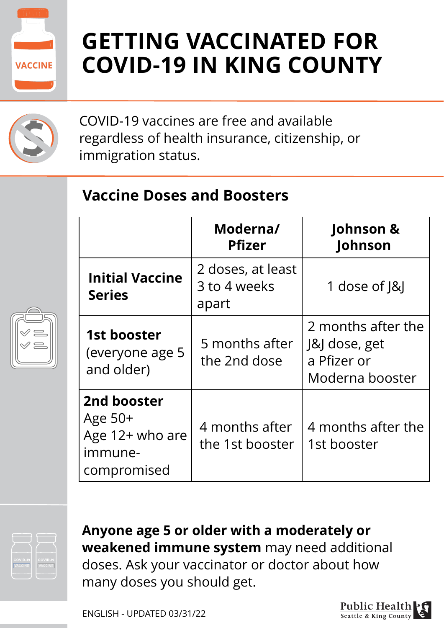

## **GETTING VACCINATED FOR COVID-19 IN KING COUNTY**



COVID-19 vaccines are free and available regardless of health insurance, citizenship, or immigration status.

#### **Vaccine Doses and Boosters**

|                                                                       | Moderna/<br><b>Pfizer</b>                  | Johnson &<br>Johnson                                                  |
|-----------------------------------------------------------------------|--------------------------------------------|-----------------------------------------------------------------------|
| <b>Initial Vaccine</b><br><b>Series</b>                               | 2 doses, at least<br>3 to 4 weeks<br>apart | 1 dose of $ &$                                                        |
| 1st booster<br>(everyone age 5<br>and older)                          | 5 months after<br>the 2nd dose             | 2 months after the<br>J&J dose, get<br>a Pfizer or<br>Moderna booster |
| 2nd booster<br>Age $50+$<br>Age 12+ who are<br>immune-<br>compromised | 4 months after<br>the 1st booster          | 4 months after the<br>1st booster                                     |



**Anyone age 5 or older with a moderately or weakened immune system** may need additional doses. Ask your vaccinator or doctor about how many doses you should get.

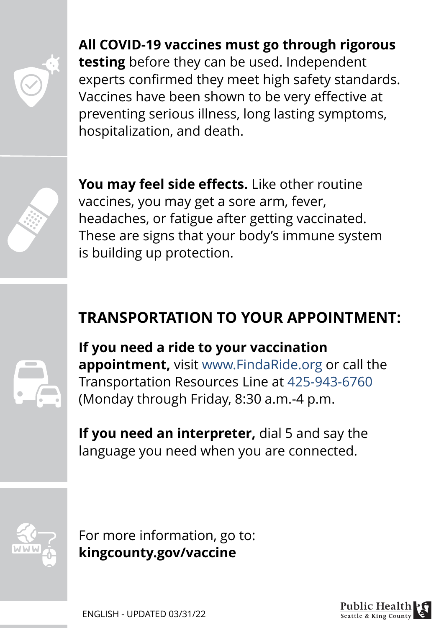**All COVID-19 vaccines must go through rigorous testing** before they can be used. Independent experts confirmed they meet high safety standards. Vaccines have been shown to be very effective at preventing serious illness, long lasting symptoms, hospitalization, and death.

**You may feel side effects.** Like other routine vaccines, you may get a sore arm, fever, headaches, or fatigue after getting vaccinated. These are signs that your body's immune system is building up protection.

#### **TRANSPORTATION TO YOUR APPOINTMENT:**

**If you need a ride to your vaccination appointment,** visit www.FindaRide.org or call the Transportation Resources Line at 425-943-6760 (Monday through Friday, 8:30 a.m.-4 p.m.

**If you need an interpreter,** dial 5 and say the language you need when you are connected.



For more information, go to: **kingcounty.gov/vaccine**